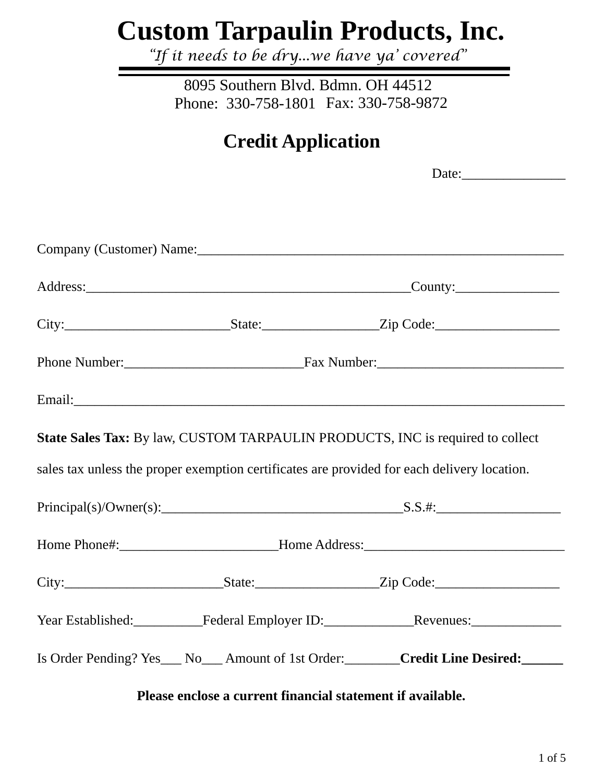# **Custom Tarpaulin Products, Inc.**

*"If it needs to be dry...we have ya' covered"* 

Phone: 330-758-1801 Fax: 330-758-9872 8095 Southern Blvd. Bdmn. OH 44512

## **Credit Application**

Date: Company (Customer) Name:\_\_\_\_\_\_\_\_\_\_\_\_\_\_\_\_\_\_\_\_\_\_\_\_\_\_\_\_\_\_\_\_\_\_\_\_\_\_\_\_\_\_\_\_\_\_\_\_\_\_\_\_\_ Address:\_\_\_\_\_\_\_\_\_\_\_\_\_\_\_\_\_\_\_\_\_\_\_\_\_\_\_\_\_\_\_\_\_\_\_\_\_\_\_\_\_\_\_\_\_\_\_County:\_\_\_\_\_\_\_\_\_\_\_\_\_\_\_ City:\_\_\_\_\_\_\_\_\_\_\_\_\_\_\_\_\_\_\_\_\_\_\_\_State:\_\_\_\_\_\_\_\_\_\_\_\_\_\_\_\_\_Zip Code:\_\_\_\_\_\_\_\_\_\_\_\_\_\_\_\_\_\_ Phone Number: The Sumber of Tax Number: Tax Number: Email:\_\_\_\_\_\_\_\_\_\_\_\_\_\_\_\_\_\_\_\_\_\_\_\_\_\_\_\_\_\_\_\_\_\_\_\_\_\_\_\_\_\_\_\_\_\_\_\_\_\_\_\_\_\_\_\_\_\_\_\_\_\_\_\_\_\_\_\_\_\_\_ **State Sales Tax:** By law, CUSTOM TARPAULIN PRODUCTS, INC is required to collect sales tax unless the proper exemption certificates are provided for each delivery location.  $Principal(s)/Owner(s):$  S.S.#: Home Phone#:\_\_\_\_\_\_\_\_\_\_\_\_\_\_\_\_\_\_\_\_\_\_\_\_\_\_Home Address:\_\_\_\_\_\_\_\_\_\_\_\_\_\_\_\_\_\_\_\_\_\_\_\_\_\_\_\_\_\_ City:\_\_\_\_\_\_\_\_\_\_\_\_\_\_\_\_\_\_\_\_\_\_\_State:\_\_\_\_\_\_\_\_\_\_\_\_\_\_\_\_\_\_Zip Code:\_\_\_\_\_\_\_\_\_\_\_\_\_\_\_\_\_\_ Year Established: Federal Employer ID: Revenues: Is Order Pending? Yes\_\_\_ No\_\_\_ Amount of 1st Order:\_\_\_\_\_\_\_\_**Credit Line Desired:\_\_\_\_\_\_**

**Please enclose a current financial statement if available.**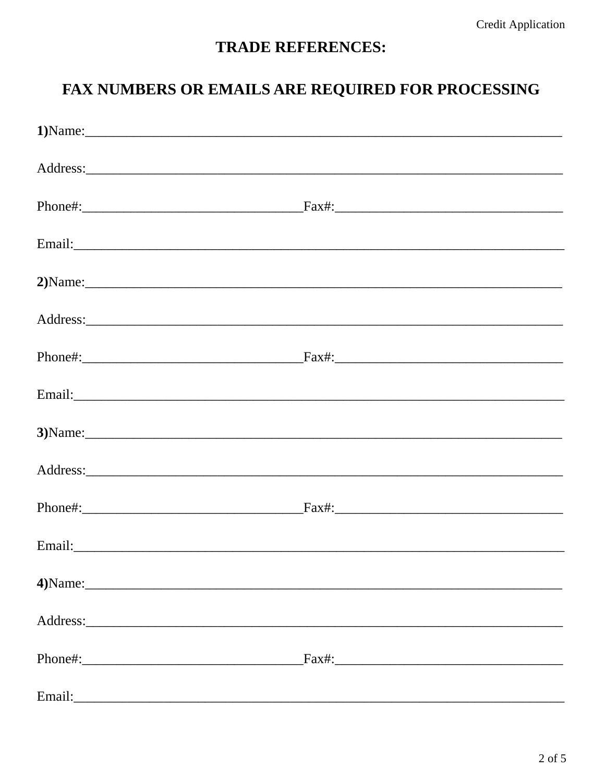#### **TRADE REFERENCES:**

#### FAX NUMBERS OR EMAILS ARE REQUIRED FOR PROCESSING

| Email: No. 2014 19:20 August 2014 19:20 August 2014 19:20 August 2014 19:20 August 20:20 August 20:20 August 20:20 August 20:20 August 20:20 August 20:20 August 20:20 August 20:20 August 20:20 August 20:20 August 20:20 Aug |                                                                                                                                                                                                                                |
|--------------------------------------------------------------------------------------------------------------------------------------------------------------------------------------------------------------------------------|--------------------------------------------------------------------------------------------------------------------------------------------------------------------------------------------------------------------------------|
|                                                                                                                                                                                                                                | 2) Name:                                                                                                                                                                                                                       |
|                                                                                                                                                                                                                                |                                                                                                                                                                                                                                |
|                                                                                                                                                                                                                                |                                                                                                                                                                                                                                |
|                                                                                                                                                                                                                                | Email: exploration of the contract of the contract of the contract of the contract of the contract of the contract of the contract of the contract of the contract of the contract of the contract of the contract of the cont |
|                                                                                                                                                                                                                                |                                                                                                                                                                                                                                |
|                                                                                                                                                                                                                                |                                                                                                                                                                                                                                |
|                                                                                                                                                                                                                                |                                                                                                                                                                                                                                |
|                                                                                                                                                                                                                                |                                                                                                                                                                                                                                |
| 4) Name:                                                                                                                                                                                                                       |                                                                                                                                                                                                                                |
|                                                                                                                                                                                                                                |                                                                                                                                                                                                                                |
|                                                                                                                                                                                                                                | $-Fax\#$ :                                                                                                                                                                                                                     |
| Email: <u>Communication</u>                                                                                                                                                                                                    |                                                                                                                                                                                                                                |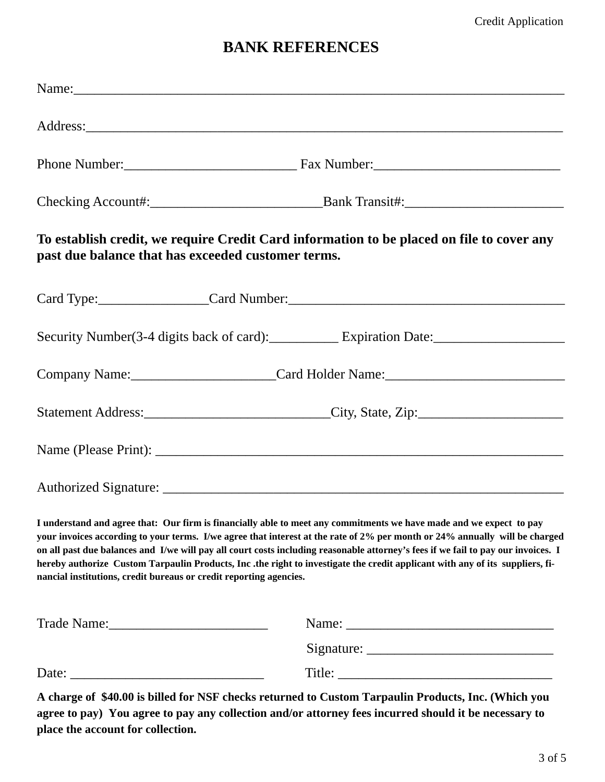#### **BANK REFERENCES**

| Name:                                                                                                                                                                                                                                                                                                                                                                                                                                                                                                                                                                                         |                                                                                   |  |
|-----------------------------------------------------------------------------------------------------------------------------------------------------------------------------------------------------------------------------------------------------------------------------------------------------------------------------------------------------------------------------------------------------------------------------------------------------------------------------------------------------------------------------------------------------------------------------------------------|-----------------------------------------------------------------------------------|--|
|                                                                                                                                                                                                                                                                                                                                                                                                                                                                                                                                                                                               |                                                                                   |  |
|                                                                                                                                                                                                                                                                                                                                                                                                                                                                                                                                                                                               |                                                                                   |  |
|                                                                                                                                                                                                                                                                                                                                                                                                                                                                                                                                                                                               |                                                                                   |  |
| To establish credit, we require Credit Card information to be placed on file to cover any<br>past due balance that has exceeded customer terms.                                                                                                                                                                                                                                                                                                                                                                                                                                               |                                                                                   |  |
|                                                                                                                                                                                                                                                                                                                                                                                                                                                                                                                                                                                               | Card Type: Card Number: Card Number:                                              |  |
|                                                                                                                                                                                                                                                                                                                                                                                                                                                                                                                                                                                               | Security Number(3-4 digits back of card): Expiration Date:                        |  |
|                                                                                                                                                                                                                                                                                                                                                                                                                                                                                                                                                                                               | Company Name:_________________________Card Holder Name:__________________________ |  |
|                                                                                                                                                                                                                                                                                                                                                                                                                                                                                                                                                                                               |                                                                                   |  |
|                                                                                                                                                                                                                                                                                                                                                                                                                                                                                                                                                                                               |                                                                                   |  |
|                                                                                                                                                                                                                                                                                                                                                                                                                                                                                                                                                                                               |                                                                                   |  |
| I understand and agree that: Our firm is financially able to meet any commitments we have made and we expect to pay<br>your invoices according to your terms. I/we agree that interest at the rate of 2% per month or 24% annually will be charged<br>on all past due balances and I/we will pay all court costs including reasonable attorney's fees if we fail to pay our invoices. I<br>hereby authorize Custom Tarpaulin Products, Inc.the right to investigate the credit applicant with any of its suppliers, fi-<br>nancial institutions, credit bureaus or credit reporting agencies. |                                                                                   |  |
| Trade Name: 1988                                                                                                                                                                                                                                                                                                                                                                                                                                                                                                                                                                              |                                                                                   |  |
|                                                                                                                                                                                                                                                                                                                                                                                                                                                                                                                                                                                               |                                                                                   |  |
|                                                                                                                                                                                                                                                                                                                                                                                                                                                                                                                                                                                               |                                                                                   |  |

**A charge of \$40.00 is billed for NSF checks returned to Custom Tarpaulin Products, Inc. (Which you agree to pay) You agree to pay any collection and/or attorney fees incurred should it be necessary to place the account for collection.**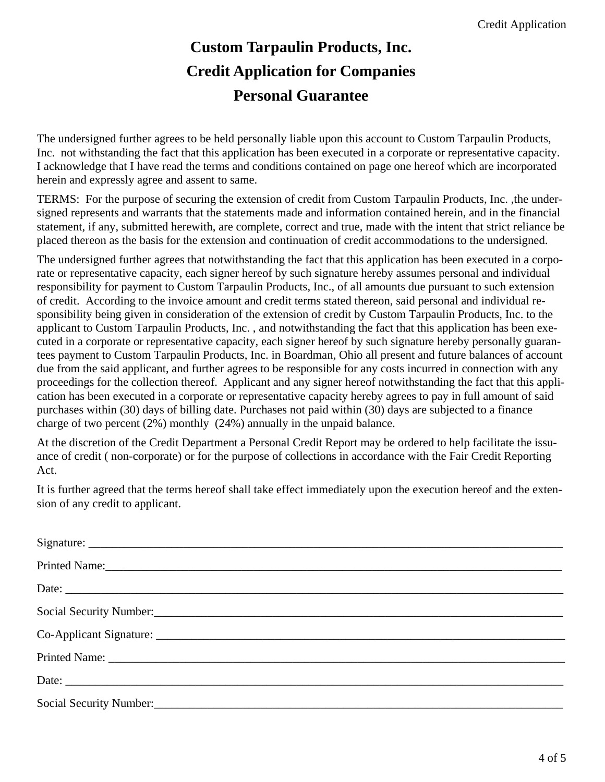### **Custom Tarpaulin Products, Inc. Credit Application for Companies Personal Guarantee**

The undersigned further agrees to be held personally liable upon this account to Custom Tarpaulin Products, Inc. not withstanding the fact that this application has been executed in a corporate or representative capacity. I acknowledge that I have read the terms and conditions contained on page one hereof which are incorporated herein and expressly agree and assent to same.

TERMS: For the purpose of securing the extension of credit from Custom Tarpaulin Products, Inc. ,the undersigned represents and warrants that the statements made and information contained herein, and in the financial statement, if any, submitted herewith, are complete, correct and true, made with the intent that strict reliance be placed thereon as the basis for the extension and continuation of credit accommodations to the undersigned.

The undersigned further agrees that notwithstanding the fact that this application has been executed in a corporate or representative capacity, each signer hereof by such signature hereby assumes personal and individual responsibility for payment to Custom Tarpaulin Products, Inc., of all amounts due pursuant to such extension of credit. According to the invoice amount and credit terms stated thereon, said personal and individual responsibility being given in consideration of the extension of credit by Custom Tarpaulin Products, Inc. to the applicant to Custom Tarpaulin Products, Inc. , and notwithstanding the fact that this application has been executed in a corporate or representative capacity, each signer hereof by such signature hereby personally guarantees payment to Custom Tarpaulin Products, Inc. in Boardman, Ohio all present and future balances of account due from the said applicant, and further agrees to be responsible for any costs incurred in connection with any proceedings for the collection thereof. Applicant and any signer hereof notwithstanding the fact that this application has been executed in a corporate or representative capacity hereby agrees to pay in full amount of said purchases within (30) days of billing date. Purchases not paid within (30) days are subjected to a finance charge of two percent (2%) monthly (24%) annually in the unpaid balance.

At the discretion of the Credit Department a Personal Credit Report may be ordered to help facilitate the issuance of credit ( non-corporate) or for the purpose of collections in accordance with the Fair Credit Reporting Act.

It is further agreed that the terms hereof shall take effect immediately upon the execution hereof and the extension of any credit to applicant.

| Printed Name:                                             |
|-----------------------------------------------------------|
|                                                           |
| Social Security Number:                                   |
|                                                           |
|                                                           |
|                                                           |
| Social Security Number:<br><u>Social Security Number:</u> |